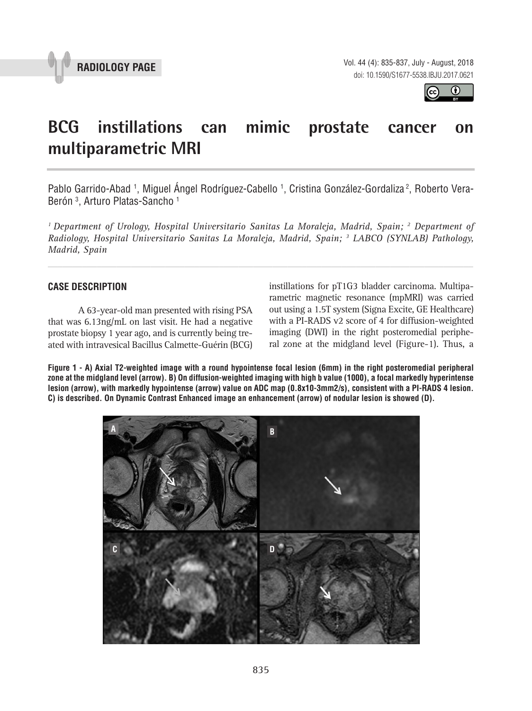



# **BCG instillations can mimic prostate cancer on multiparametric MRI \_\_\_\_\_\_\_\_\_\_\_\_\_\_\_\_\_\_\_\_\_\_\_\_\_\_\_\_\_\_\_\_\_\_\_\_\_\_\_\_\_\_\_\_\_\_\_**

Pablo Garrido-Abad <sup>1</sup>, Miguel Angel Rodríguez-Cabello <sup>1</sup>, Cristina González-Gordaliza <sup>2</sup>, Roberto Vera-Berón 3 , Arturo Platas-Sancho 1

<sup>1</sup> Department of Urology, Hospital Universitario Sanitas La Moraleja, Madrid, Spain; <sup>2</sup> Department of *Radiology, Hospital Universitario Sanitas La Moraleja, Madrid, Spain; 3 LABCO (SYNLAB) Pathology, Madrid, Spain*

*\_\_\_\_\_\_\_\_\_\_\_\_\_\_\_\_\_\_\_\_\_\_\_\_\_\_\_\_\_\_\_\_\_\_\_\_\_\_\_\_\_\_\_\_\_\_\_\_\_\_\_\_\_\_\_\_\_\_\_\_\_\_\_\_\_\_\_\_\_\_\_\_\_\_\_\_\_\_\_\_\_\_\_\_\_\_\_*

## **CASE DESCRIPTION**

A 63-year-old man presented with rising PSA that was 6.13ng/mL on last visit. He had a negative prostate biopsy 1 year ago, and is currently being treated with intravesical Bacillus Calmette-Guérin (BCG) instillations for pT1G3 bladder carcinoma. Multiparametric magnetic resonance (mpMRI) was carried out using a 1.5T system (Signa Excite, GE Healthcare) with a PI-RADS v2 score of 4 for diffusion-weighted imaging (DWI) in the right posteromedial peripheral zone at the midgland level (Figure-1). Thus, a

**Figure 1 - A) Axial T2-weighted image with a round hypointense focal lesion (6mm) in the right posteromedial peripheral zone at the midgland level (arrow). B) On diffusion-weighted imaging with high b value (1000), a focal markedly hyperintense lesion (arrow), with markedly hypointense (arrow) value on ADC map (0.8x10-3mm2/s), consistent with a PI-RADS 4 lesion. C) is described. On Dynamic Contrast Enhanced image an enhancement (arrow) of nodular lesion is showed (D).**

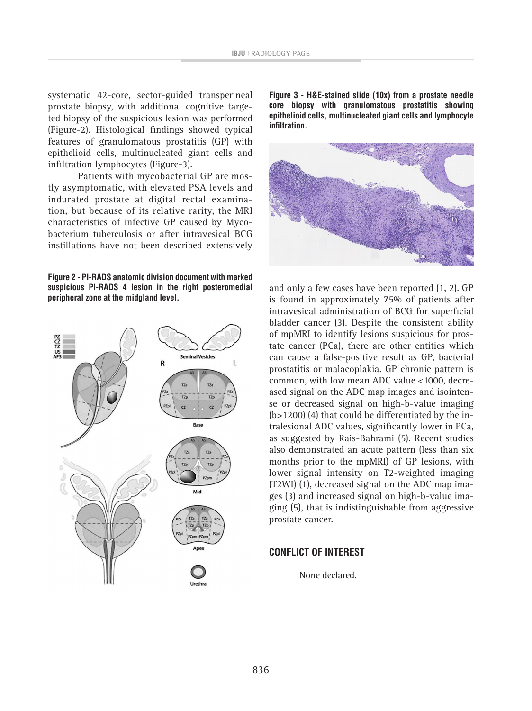systematic 42-core, sector-guided transperineal prostate biopsy, with additional cognitive targeted biopsy of the suspicious lesion was performed (Figure-2). Histological findings showed typical features of granulomatous prostatitis (GP) with epithelioid cells, multinucleated giant cells and infiltration lymphocytes (Figure-3).

Patients with mycobacterial GP are mostly asymptomatic, with elevated PSA levels and indurated prostate at digital rectal examination, but because of its relative rarity, the MRI characteristics of infective GP caused by Mycobacterium tuberculosis or after intravesical BCG instillations have not been described extensively

**Figure 2 - PI-RADS anatomic division document with marked suspicious PI-RADS 4 lesion in the right posteromedial peripheral zone at the midgland level.**



**Figure 3 - H&E-stained slide (10x) from a prostate needle core biopsy with granulomatous prostatitis showing epithelioid cells, multinucleated giant cells and lymphocyte infiltration.**



and only a few cases have been reported (1, 2). GP is found in approximately 75% of patients after intravesical administration of BCG for superficial bladder cancer (3). Despite the consistent ability of mpMRI to identify lesions suspicious for prostate cancer (PCa), there are other entities which can cause a false-positive result as GP, bacterial prostatitis or malacoplakia. GP chronic pattern is common, with low mean ADC value <1000, decreased signal on the ADC map images and isointense or decreased signal on high-b-value imaging (b>1200) (4) that could be differentiated by the intralesional ADC values, significantly lower in PCa, as suggested by Rais-Bahrami (5). Recent studies also demonstrated an acute pattern (less than six months prior to the mpMRI) of GP lesions, with lower signal intensity on T2-weighted imaging (T2WI) (1), decreased signal on the ADC map images (3) and increased signal on high-b-value imaging (5), that is indistinguishable from aggressive prostate cancer.

### **CONFLICT OF INTEREST**

None declared.